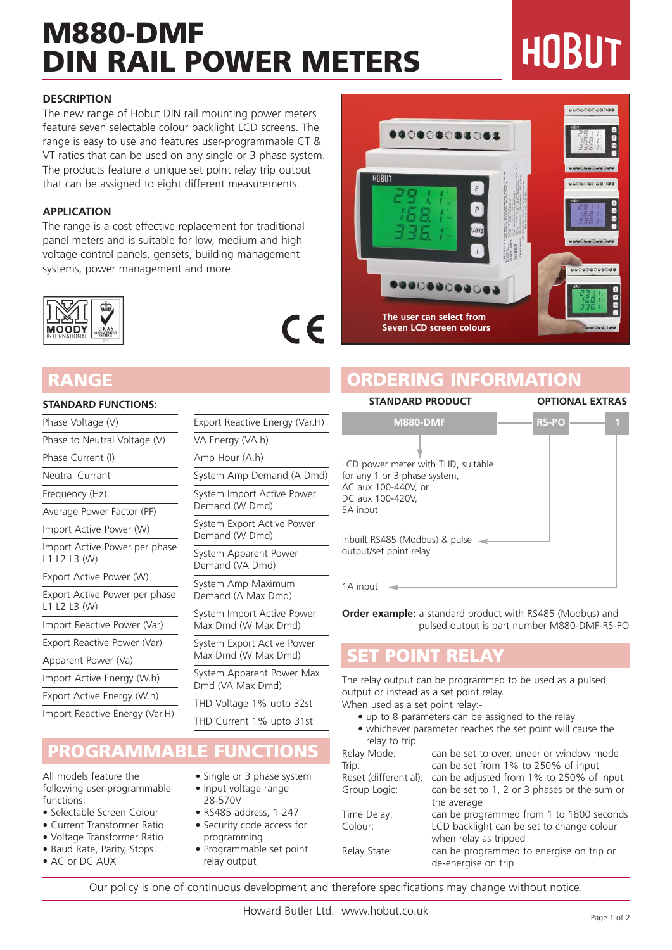# **M880-DMF DIN RAIL POWER METERS**

# HOBUT

#### **DESCRIPTION**

The new range of Hobut DIN rail mounting power meters feature seven selectable colour backlight LCD screens. The range is easy to use and features user-programmable CT & VT ratios that can be used on any single or 3 phase system. The products feature a unique set point relay trip output that can be assigned to eight different measurements.

#### **APPLICATION**

The range is a cost effective replacement for traditional panel meters and is suitable for low, medium and high voltage control panels, gensets, building management systems, power management and more.



#### **STANDARD FUNCTIONS:**

| Phase Voltage (V)                             |  |
|-----------------------------------------------|--|
| Phase to Neutral Voltage (V)                  |  |
| Phase Current (I)                             |  |
| <b>Neutral Currant</b>                        |  |
| Frequency (Hz)                                |  |
| Average Power Factor (PF)                     |  |
| Import Active Power (W)                       |  |
| Import Active Power per phase<br>L1 L2 L3 (W) |  |
| Export Active Power (W)                       |  |
| Export Active Power per phase<br>L1 L2 L3 (W) |  |
| Import Reactive Power (Var)                   |  |
| Export Reactive Power (Var)                   |  |
| Apparent Power (Va)                           |  |
| Import Active Energy (W.h)                    |  |
| Export Active Energy (W.h)                    |  |
| Import Reactive Energy (Var.H)                |  |
|                                               |  |

| Export Reactive Energy (Var.H)                    |
|---------------------------------------------------|
| VA Energy (VA.h)                                  |
| Amp Hour (A.h)                                    |
| System Amp Demand (A Dmd)                         |
| System Import Active Power<br>Demand (W Dmd)      |
| System Export Active Power<br>Demand (W Dmd)      |
| System Apparent Power<br>Demand (VA Dmd)          |
| System Amp Maximum<br>Demand (A Max Dmd)          |
| System Import Active Power<br>Max Dmd (W Max Dmd) |
| System Export Active Power<br>Max Dmd (W Max Dmd) |
| System Apparent Power Max<br>Dmd (VA Max Dmd)     |
| THD Voltage 1% upto 32st                          |
| THD Current 1% upto 31st                          |

 $\epsilon$ 

#### **PROGRAMMABLE FUNCTIONS**

All models feature the following user-programmable functions:

- Selectable Screen Colour
- Current Transformer Ratio
- Voltage Transformer Ratio
- Baud Rate, Parity, Stops
- AC or DC AUX
- Single or 3 phase system • Input voltage range
- 28-570V • RS485 address, 1-247
- Security code access for
- programming • Programmable set point relay output

............ .......... 88 ............ **COOCOOC The user can select from Seven LCD screen colours**

#### **RANGE ORDERING INFORMATION**



1A input <

**Order example:** a standard product with RS485 (Modbus) and pulsed output is part number M880-DMF-RS-PO

#### **SET POINT RELAY**

The relay output can be programmed to be used as a pulsed output or instead as a set point relay.

When used as a set point relay:-

- up to 8 parameters can be assigned to the relay
- whichever parameter reaches the set point will cause the relay to trip

| Relay Mode:           | can be set to over, under or window mode                        |
|-----------------------|-----------------------------------------------------------------|
| Trip:                 | can be set from 1% to 250% of input                             |
| Reset (differential): | can be adjusted from 1% to 250% of input                        |
| Group Logic:          | can be set to 1, 2 or 3 phases or the sum or                    |
|                       | the average                                                     |
| Time Delay:           | can be programmed from 1 to 1800 seconds                        |
| Colour:               | LCD backlight can be set to change colour                       |
|                       | when relay as tripped                                           |
| Relay State:          | can be programmed to energise on trip or<br>de-energise on trip |
|                       |                                                                 |

Our policy is one of continuous development and therefore specifications may change without notice.